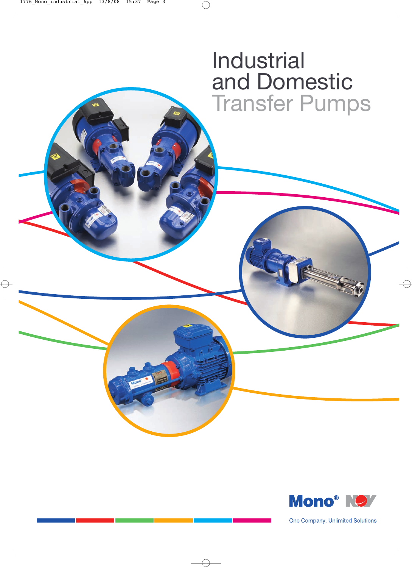# Industrial and Domestic Transfer Pumps



One Company, Unlimited Solutions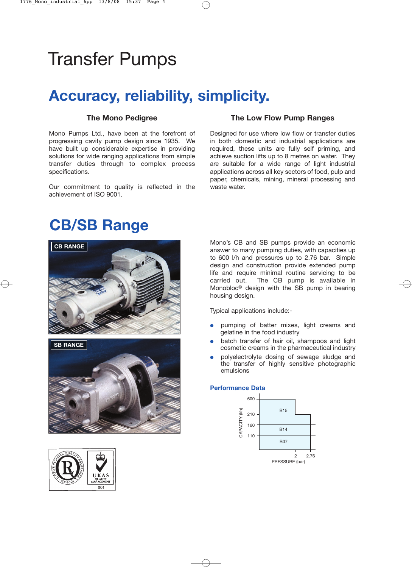# Transfer Pumps

## **Accuracy, reliability, simplicity.**

### **The Mono Pedigree**

Mono Pumps Ltd., have been at the forefront of progressing cavity pump design since 1935. We have built up considerable expertise in providing solutions for wide ranging applications from simple transfer duties through to complex process specifications.

Our commitment to quality is reflected in the achievement of ISO 9001.

### **The Low Flow Pump Ranges**

Designed for use where low flow or transfer duties in both domestic and industrial applications are required, these units are fully self priming, and achieve suction lifts up to 8 metres on water. They are suitable for a wide range of light industrial applications across all key sectors of food, pulp and paper, chemicals, mining, mineral processing and waste water.

## **CB/SB Range**







Mono's CB and SB pumps provide an economic answer to many pumping duties, with capacities up to 600 l/h and pressures up to 2.76 bar. Simple design and construction provide extended pump life and require minimal routine servicing to be carried out. The CB pump is available in Monobloc® design with the SB pump in bearing housing design.

Typical applications include:-

- pumping of batter mixes, light creams and gelatine in the food industry
- batch transfer of hair oil, shampoos and light cosmetic creams in the pharmaceutical industry
- polyelectrolyte dosing of sewage sludge and the transfer of highly sensitive photographic emulsions

#### **Performance Data**

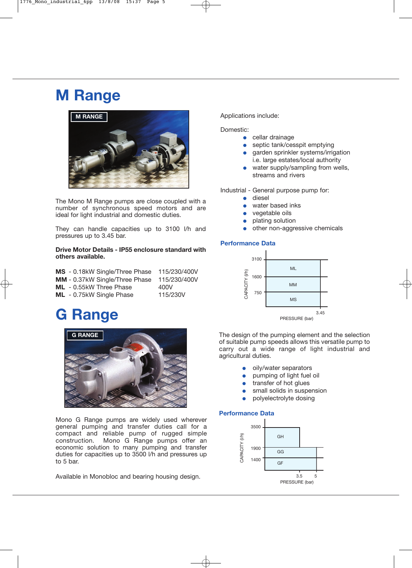## **M Range**



The Mono M Range pumps are close coupled with a number of synchronous speed motors and are ideal for light industrial and domestic duties.

They can handle capacities up to 3100 l/h and pressures up to 3.45 bar.

#### **Drive Motor Details - IP55 enclosure standard with others available.**

|  | MS - 0.18kW Single/Three Phase | 115/230/400V |
|--|--------------------------------|--------------|
|  | MM - 0.37kW Single/Three Phase | 115/230/400V |
|  | <b>ML</b> - 0.55kW Three Phase | 400V         |
|  | ML - 0.75kW Single Phase       | 115/230V     |
|  |                                |              |

## **G Range**



Mono G Range pumps are widely used wherever general pumping and transfer duties call for a compact and reliable pump of rugged simple construction. Mono G Range pumps offer an economic solution to many pumping and transfer duties for capacities up to 3500 l/h and pressures up to 5 bar.

Available in Monobloc and bearing housing design.

#### Applications include:

Domestic:

- cellar drainage
	- septic tank/cesspit emptying
- garden sprinkler systems/irrigation i.e. large estates/local authority
- water supply/sampling from wells, streams and rivers

Industrial - General purpose pump for:

- diesel
- water based inks
- vegetable oils
- plating solution
- other non-aggressive chemicals

#### **Performance Data**



**G RANGE** The design of the pumping element and the selection of suitable pump speeds allows this versatile pump to carry out a wide range of light industrial and agricultural duties.

- oily/water separators
- pumping of light fuel oil
- transfer of hot glues
- small solids in suspension
- polyelectrolyte dosing

#### **Performance Data**

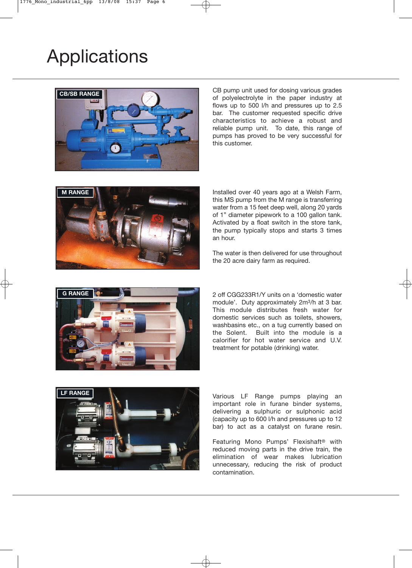# **Applications**



CB pump unit used for dosing various grades of polyelectrolyte in the paper industry at flows up to 500 l/h and pressures up to 2.5 bar. The customer requested specific drive characteristics to achieve a robust and reliable pump unit. To date, this range of pumps has proved to be very successful for this customer.



Installed over 40 years ago at a Welsh Farm, this MS pump from the M range is transferring water from a 15 feet deep well, along 20 yards of 1" diameter pipework to a 100 gallon tank. Activated by a float switch in the store tank, the pump typically stops and starts 3 times an hour.

The water is then delivered for use throughout the 20 acre dairy farm as required.



2 off CGG233R1/Y units on a 'domestic water module'. Duty approximately 2m3/h at 3 bar. This module distributes fresh water for domestic services such as toilets, showers, washbasins etc., on a tug currently based on the Solent. Built into the module is a calorifier for hot water service and U.V. treatment for potable (drinking) water.



Various LF Range pumps playing an important role in furane binder systems, delivering a sulphuric or sulphonic acid (capacity up to 600 l/h and pressures up to 12 bar) to act as a catalyst on furane resin.

Featuring Mono Pumps' Flexishaft® with reduced moving parts in the drive train, the elimination of wear makes lubrication unnecessary, reducing the risk of product contamination.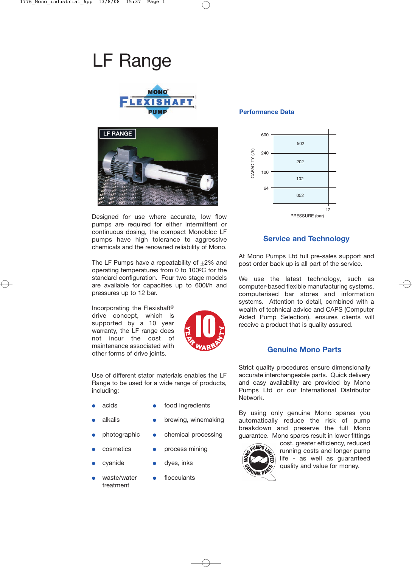# LF Range





Designed for use where accurate, low flow pumps are required for either intermittent or continuous dosing, the compact Monobloc LF pumps have high tolerance to aggressive chemicals and the renowned reliability of Mono.

The LF Pumps have a repeatability of +2% and operating temperatures from 0 to 100°C for the standard configuration. Four two stage models are available for capacities up to 600l/h and pressures up to 12 bar.

Incorporating the Flexishaft® drive concept, which is supported by a 10 year warranty, the LF range does not incur the cost of maintenance associated with other forms of drive joints.



Use of different stator materials enables the LF Range to be used for a wide range of products, including:

- acids **•** food ingredients
- 
- 
- 
- 
- 
- treatment
- alkalis **•** brewing, winemaking
- photographic chemical processing
- cosmetics process mining
- cyanide dyes, inks
	- waste/water flocculants

#### **Performance Data**



### **Service and Technology**

At Mono Pumps Ltd full pre-sales support and post order back up is all part of the service.

We use the latest technology, such as computer-based flexible manufacturing systems, computerised bar stores and information systems. Attention to detail, combined with a wealth of technical advice and CAPS (Computer Aided Pump Selection), ensures clients will receive a product that is quality assured.

### **Genuine Mono Parts**

Strict quality procedures ensure dimensionally accurate interchangeable parts. Quick delivery and easy availability are provided by Mono Pumps Ltd or our International Distributor Network.

By using only genuine Mono spares you automatically reduce the risk of pump breakdown and preserve the full Mono guarantee. Mono spares result in lower fittings



cost, greater efficiency, reduced running costs and longer pump life - as well as guaranteed quality and value for money.